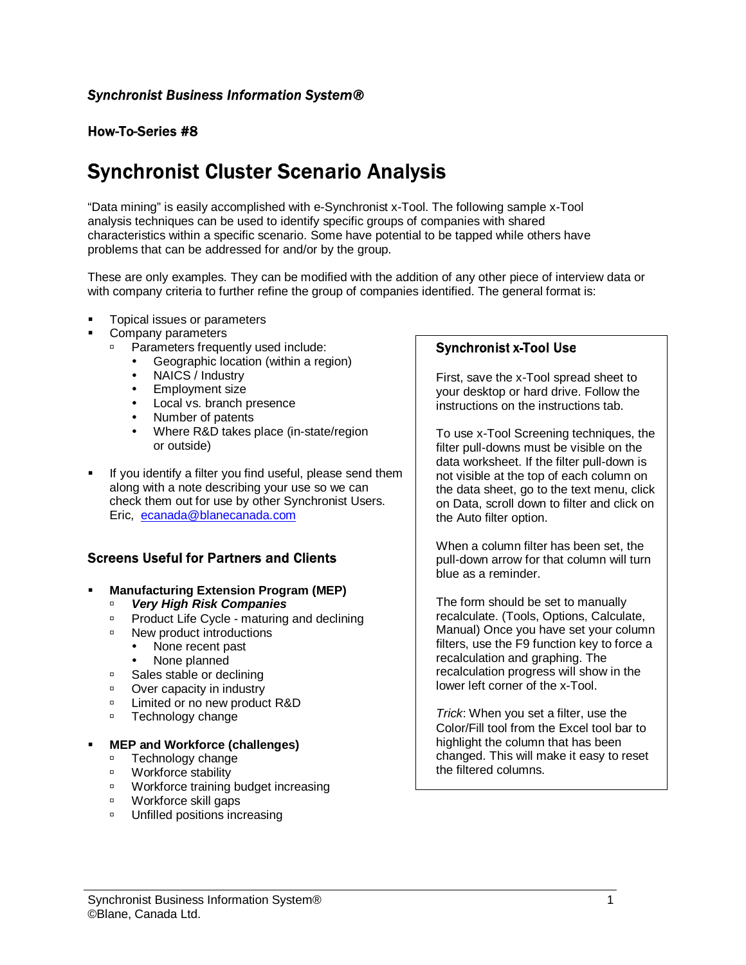# **How-To-Series #8**

# **Synchronist Cluster Scenario Analysis**

"Data mining" is easily accomplished with e-Synchronist x-Tool. The following sample x-Tool analysis techniques can be used to identify specific groups of companies with shared characteristics within a specific scenario. Some have potential to be tapped while others have problems that can be addressed for and/or by the group.

These are only examples. They can be modified with the addition of any other piece of interview data or with company criteria to further refine the group of companies identified. The general format is:

- Topical issues or parameters
- Company parameters
	- **Parameters frequently used include:** 
		- Geographic location (within a region)<br>• NAICS / Industry
		- NAICS / Industry
		- Employment size
		- Local vs. branch presence
		- Number of patents
		- Where R&D takes place (in-state/region or outside)
- If you identify a filter you find useful, please send them along with a note describing your use so we can check them out for use by other Synchronist Users. Eric, ecanada@blanecanada.com

## **Screens Useful for Partners and Clients**

- **Manufacturing Extension Program (MEP)** 
	- � **Very High Risk Companies**
	- **Product Life Cycle maturing and declining**
	- □ New product introductions
		- None recent past
		- None planned
	- □ Sales stable or declining
	- □ Over capacity in industry
	- □ Limited or no new product R&D
	- **DEDUARY Technology change**

#### � **MEP and Workforce (challenges)**

- **Execution** Technology change
- Workforce stability
- **Workforce training budget increasing**
- Workforce skill gaps
- *D* Unfilled positions increasing

## **Synchronist x-Tool Use**

First, save the x-Tool spread sheet to your desktop or hard drive. Follow the instructions on the instructions tab.

To use x-Tool Screening techniques, the filter pull-downs must be visible on the data worksheet. If the filter pull-down is not visible at the top of each column on the data sheet, go to the text menu, click on Data, scroll down to filter and click on the Auto filter option.

When a column filter has been set, the pull-down arrow for that column will turn blue as a reminder.

The form should be set to manually recalculate. (Tools, Options, Calculate, Manual) Once you have set your column filters, use the F9 function key to force a recalculation and graphing. The recalculation progress will show in the lower left corner of the x-Tool.

Trick: When you set a filter, use the Color/Fill tool from the Excel tool bar to highlight the column that has been changed. This will make it easy to reset the filtered columns.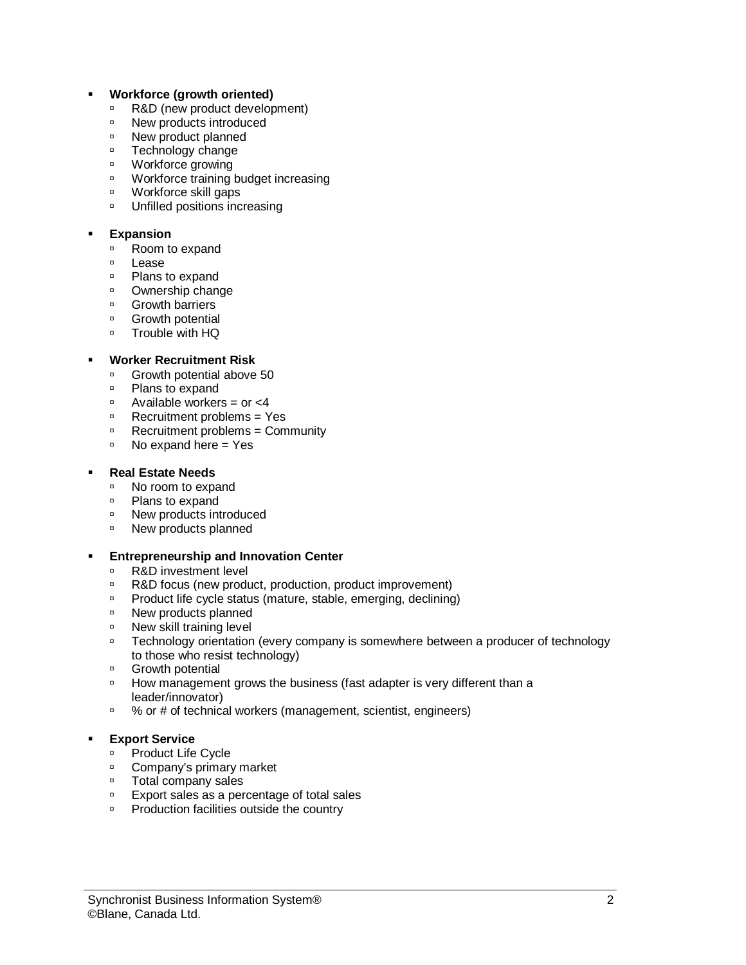#### � **Workforce (growth oriented)**

- □ R&D (new product development)
- □ New products introduced
- □ New product planned
- **Execution** Technology change
- Workforce growing
- Workforce training budget increasing
- Workforce skill gaps
- **DISPED Unfilled positions increasing**

#### � **Expansion**

- □ Room to expand
- � Lease
- *D* Plans to expand
- **D** Ownership change
- *<del>D</del>* Growth barriers
- *<del>D</del>* Growth potential
- Trouble with HQ

## � **Worker Recruitment Risk**

- □ Growth potential above 50
- *D* Plans to expand
- $\overline{P}$  Available workers = or <4
- **B** Recruitment problems = Yes<br>**Recruitment problems = Com**
- � Recruitment problems = Community
- $\Box$  No expand here = Yes

#### � **Real Estate Needs**

- □ No room to expand
- **Plans to expand**
- □ New products introduced
- <sup>o</sup> New products planned

## � **Entrepreneurship and Innovation Center**

- □ R&D investment level
- □ R&D focus (new product, production, product improvement)
- **Product life cycle status (mature, stable, emerging, declining)**
- □ New products planned
- □ New skill training level
- **Technology orientation (every company is somewhere between a producer of technology** to those who resist technology)
- *<del>D</del>* Growth potential
- **B** How management grows the business (fast adapter is very different than a leader/innovator)
- <sup>o</sup> % or # of technical workers (management, scientist, engineers)

## **Export Service**

- □ Product Life Cycle
- □ Company's primary market
- **D** Total company sales
- □ Export sales as a percentage of total sales
- **Production facilities outside the country**